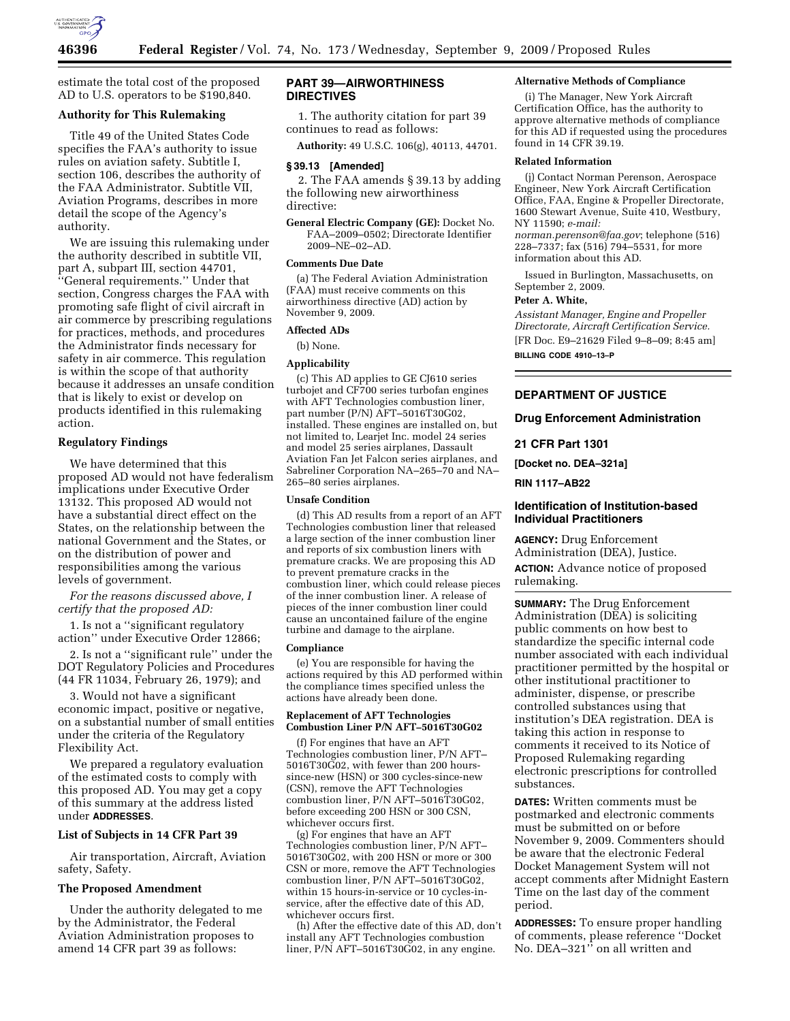

estimate the total cost of the proposed AD to U.S. operators to be \$190,840.

# **Authority for This Rulemaking**

Title 49 of the United States Code specifies the FAA's authority to issue rules on aviation safety. Subtitle I, section 106, describes the authority of the FAA Administrator. Subtitle VII, Aviation Programs, describes in more detail the scope of the Agency's authority.

We are issuing this rulemaking under the authority described in subtitle VII, part A, subpart III, section 44701, ''General requirements.'' Under that section, Congress charges the FAA with promoting safe flight of civil aircraft in air commerce by prescribing regulations for practices, methods, and procedures the Administrator finds necessary for safety in air commerce. This regulation is within the scope of that authority because it addresses an unsafe condition that is likely to exist or develop on products identified in this rulemaking action.

# **Regulatory Findings**

We have determined that this proposed AD would not have federalism implications under Executive Order 13132. This proposed AD would not have a substantial direct effect on the States, on the relationship between the national Government and the States, or on the distribution of power and responsibilities among the various levels of government.

*For the reasons discussed above, I certify that the proposed AD:* 

1. Is not a ''significant regulatory action'' under Executive Order 12866;

2. Is not a ''significant rule'' under the DOT Regulatory Policies and Procedures (44 FR 11034, February 26, 1979); and

3. Would not have a significant economic impact, positive or negative, on a substantial number of small entities under the criteria of the Regulatory Flexibility Act.

We prepared a regulatory evaluation of the estimated costs to comply with this proposed AD. You may get a copy of this summary at the address listed under **ADDRESSES**.

# **List of Subjects in 14 CFR Part 39**

Air transportation, Aircraft, Aviation safety, Safety.

# **The Proposed Amendment**

Under the authority delegated to me by the Administrator, the Federal Aviation Administration proposes to amend 14 CFR part 39 as follows:

# **PART 39—AIRWORTHINESS DIRECTIVES**

1. The authority citation for part 39 continues to read as follows:

**Authority:** 49 U.S.C. 106(g), 40113, 44701.

#### **§ 39.13 [Amended]**

2. The FAA amends § 39.13 by adding the following new airworthiness directive:

**General Electric Company (GE):** Docket No. FAA–2009–0502; Directorate Identifier 2009–NE–02–AD.

### **Comments Due Date**

(a) The Federal Aviation Administration (FAA) must receive comments on this airworthiness directive (AD) action by November 9, 2009.

# **Affected ADs**

(b) None.

# **Applicability**

(c) This AD applies to GE CJ610 series turbojet and CF700 series turbofan engines with AFT Technologies combustion liner, part number (P/N) AFT–5016T30G02, installed. These engines are installed on, but not limited to, Learjet Inc. model 24 series and model 25 series airplanes, Dassault Aviation Fan Jet Falcon series airplanes, and Sabreliner Corporation NA–265–70 and NA– 265–80 series airplanes.

### **Unsafe Condition**

(d) This AD results from a report of an AFT Technologies combustion liner that released a large section of the inner combustion liner and reports of six combustion liners with premature cracks. We are proposing this AD to prevent premature cracks in the combustion liner, which could release pieces of the inner combustion liner. A release of pieces of the inner combustion liner could cause an uncontained failure of the engine turbine and damage to the airplane.

#### **Compliance**

(e) You are responsible for having the actions required by this AD performed within the compliance times specified unless the actions have already been done.

# **Replacement of AFT Technologies Combustion Liner P/N AFT–5016T30G02**

(f) For engines that have an AFT Technologies combustion liner, P/N AFT– 5016T30G02, with fewer than 200 hourssince-new (HSN) or 300 cycles-since-new (CSN), remove the AFT Technologies combustion liner, P/N AFT–5016T30G02, before exceeding 200 HSN or 300 CSN, whichever occurs first.

(g) For engines that have an AFT Technologies combustion liner, P/N AFT– 5016T30G02, with 200 HSN or more or 300 CSN or more, remove the AFT Technologies combustion liner, P/N AFT–5016T30G02, within 15 hours-in-service or 10 cycles-inservice, after the effective date of this AD, whichever occurs first.

(h) After the effective date of this AD, don't install any AFT Technologies combustion liner, P/N AFT-5016T30G02, in any engine.

# **Alternative Methods of Compliance**

(i) The Manager, New York Aircraft Certification Office, has the authority to approve alternative methods of compliance for this AD if requested using the procedures found in 14 CFR 39.19.

### **Related Information**

(j) Contact Norman Perenson, Aerospace Engineer, New York Aircraft Certification Office, FAA, Engine & Propeller Directorate, 1600 Stewart Avenue, Suite 410, Westbury, NY 11590; *e-mail:* 

*norman.perenson@faa.gov*; telephone (516) 228–7337; fax (516) 794–5531, for more information about this AD.

Issued in Burlington, Massachusetts, on September 2, 2009.

### **Peter A. White,**

*Assistant Manager, Engine and Propeller Directorate, Aircraft Certification Service.*  [FR Doc. E9–21629 Filed 9–8–09; 8:45 am] **BILLING CODE 4910–13–P** 

# **DEPARTMENT OF JUSTICE**

### **Drug Enforcement Administration**

### **21 CFR Part 1301**

**[Docket no. DEA–321a]** 

## **RIN 1117–AB22**

# **Identification of Institution-based Individual Practitioners**

**AGENCY:** Drug Enforcement Administration (DEA), Justice. **ACTION:** Advance notice of proposed rulemaking.

**SUMMARY:** The Drug Enforcement Administration (DEA) is soliciting public comments on how best to standardize the specific internal code number associated with each individual practitioner permitted by the hospital or other institutional practitioner to administer, dispense, or prescribe controlled substances using that institution's DEA registration. DEA is taking this action in response to comments it received to its Notice of Proposed Rulemaking regarding electronic prescriptions for controlled substances.

**DATES:** Written comments must be postmarked and electronic comments must be submitted on or before November 9, 2009. Commenters should be aware that the electronic Federal Docket Management System will not accept comments after Midnight Eastern Time on the last day of the comment period.

**ADDRESSES:** To ensure proper handling of comments, please reference ''Docket No. DEA–321'' on all written and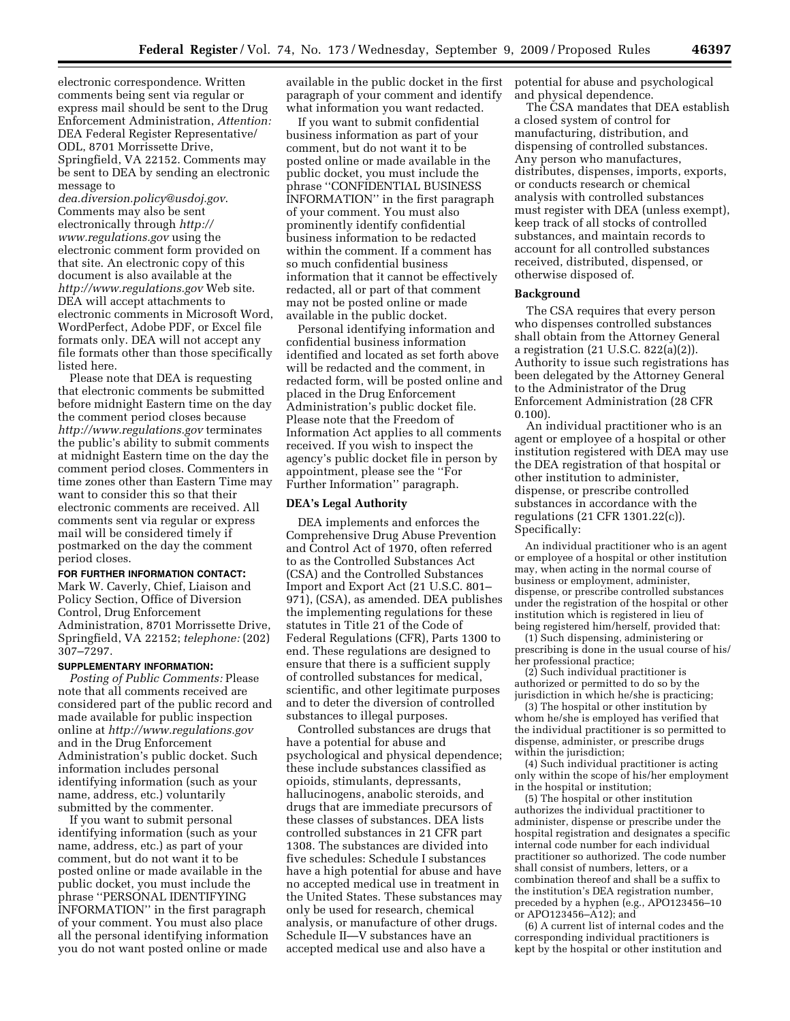electronic correspondence. Written comments being sent via regular or express mail should be sent to the Drug Enforcement Administration, *Attention:*  DEA Federal Register Representative/ ODL, 8701 Morrissette Drive, Springfield, VA 22152. Comments may be sent to DEA by sending an electronic message to

*dea.diversion.policy@usdoj.gov*. Comments may also be sent electronically through *http:// www.regulations.gov* using the electronic comment form provided on that site. An electronic copy of this document is also available at the *http://www.regulations.gov* Web site. DEA will accept attachments to electronic comments in Microsoft Word, WordPerfect, Adobe PDF, or Excel file formats only. DEA will not accept any file formats other than those specifically listed here.

Please note that DEA is requesting that electronic comments be submitted before midnight Eastern time on the day the comment period closes because *http://www.regulations.gov* terminates the public's ability to submit comments at midnight Eastern time on the day the comment period closes. Commenters in time zones other than Eastern Time may want to consider this so that their electronic comments are received. All comments sent via regular or express mail will be considered timely if postmarked on the day the comment period closes.

# **FOR FURTHER INFORMATION CONTACT:**

Mark W. Caverly, Chief, Liaison and Policy Section, Office of Diversion Control, Drug Enforcement Administration, 8701 Morrissette Drive, Springfield, VA 22152; *telephone:* (202) 307–7297.

### **SUPPLEMENTARY INFORMATION:**

*Posting of Public Comments:* Please note that all comments received are considered part of the public record and made available for public inspection online at *http://www.regulations.gov*  and in the Drug Enforcement Administration's public docket. Such information includes personal identifying information (such as your name, address, etc.) voluntarily submitted by the commenter.

If you want to submit personal identifying information (such as your name, address, etc.) as part of your comment, but do not want it to be posted online or made available in the public docket, you must include the phrase ''PERSONAL IDENTIFYING INFORMATION'' in the first paragraph of your comment. You must also place all the personal identifying information you do not want posted online or made

available in the public docket in the first paragraph of your comment and identify what information you want redacted.

If you want to submit confidential business information as part of your comment, but do not want it to be posted online or made available in the public docket, you must include the phrase ''CONFIDENTIAL BUSINESS INFORMATION'' in the first paragraph of your comment. You must also prominently identify confidential business information to be redacted within the comment. If a comment has so much confidential business information that it cannot be effectively redacted, all or part of that comment may not be posted online or made available in the public docket.

Personal identifying information and confidential business information identified and located as set forth above will be redacted and the comment, in redacted form, will be posted online and placed in the Drug Enforcement Administration's public docket file. Please note that the Freedom of Information Act applies to all comments received. If you wish to inspect the agency's public docket file in person by appointment, please see the ''For Further Information'' paragraph.

# **DEA's Legal Authority**

DEA implements and enforces the Comprehensive Drug Abuse Prevention and Control Act of 1970, often referred to as the Controlled Substances Act (CSA) and the Controlled Substances Import and Export Act (21 U.S.C. 801– 971), (CSA), as amended. DEA publishes the implementing regulations for these statutes in Title 21 of the Code of Federal Regulations (CFR), Parts 1300 to end. These regulations are designed to ensure that there is a sufficient supply of controlled substances for medical, scientific, and other legitimate purposes and to deter the diversion of controlled substances to illegal purposes.

Controlled substances are drugs that have a potential for abuse and psychological and physical dependence; these include substances classified as opioids, stimulants, depressants, hallucinogens, anabolic steroids, and drugs that are immediate precursors of these classes of substances. DEA lists controlled substances in 21 CFR part 1308. The substances are divided into five schedules: Schedule I substances have a high potential for abuse and have no accepted medical use in treatment in the United States. These substances may only be used for research, chemical analysis, or manufacture of other drugs. Schedule II—V substances have an accepted medical use and also have a

potential for abuse and psychological and physical dependence.

The CSA mandates that DEA establish a closed system of control for manufacturing, distribution, and dispensing of controlled substances. Any person who manufactures, distributes, dispenses, imports, exports, or conducts research or chemical analysis with controlled substances must register with DEA (unless exempt), keep track of all stocks of controlled substances, and maintain records to account for all controlled substances received, distributed, dispensed, or otherwise disposed of.

#### **Background**

The CSA requires that every person who dispenses controlled substances shall obtain from the Attorney General a registration (21 U.S.C. 822(a)(2)). Authority to issue such registrations has been delegated by the Attorney General to the Administrator of the Drug Enforcement Administration (28 CFR 0.100).

An individual practitioner who is an agent or employee of a hospital or other institution registered with DEA may use the DEA registration of that hospital or other institution to administer, dispense, or prescribe controlled substances in accordance with the regulations (21 CFR 1301.22(c)). Specifically:

An individual practitioner who is an agent or employee of a hospital or other institution may, when acting in the normal course of business or employment, administer, dispense, or prescribe controlled substances under the registration of the hospital or other institution which is registered in lieu of being registered him/herself, provided that:

(1) Such dispensing, administering or prescribing is done in the usual course of his/ her professional practice;

(2) Such individual practitioner is authorized or permitted to do so by the jurisdiction in which he/she is practicing;

(3) The hospital or other institution by whom he/she is employed has verified that the individual practitioner is so permitted to dispense, administer, or prescribe drugs within the jurisdiction;

(4) Such individual practitioner is acting only within the scope of his/her employment in the hospital or institution;

(5) The hospital or other institution authorizes the individual practitioner to administer, dispense or prescribe under the hospital registration and designates a specific internal code number for each individual practitioner so authorized. The code number shall consist of numbers, letters, or a combination thereof and shall be a suffix to the institution's DEA registration number, preceded by a hyphen (e.g., APO123456–10 or APO123456–A12); and

(6) A current list of internal codes and the corresponding individual practitioners is kept by the hospital or other institution and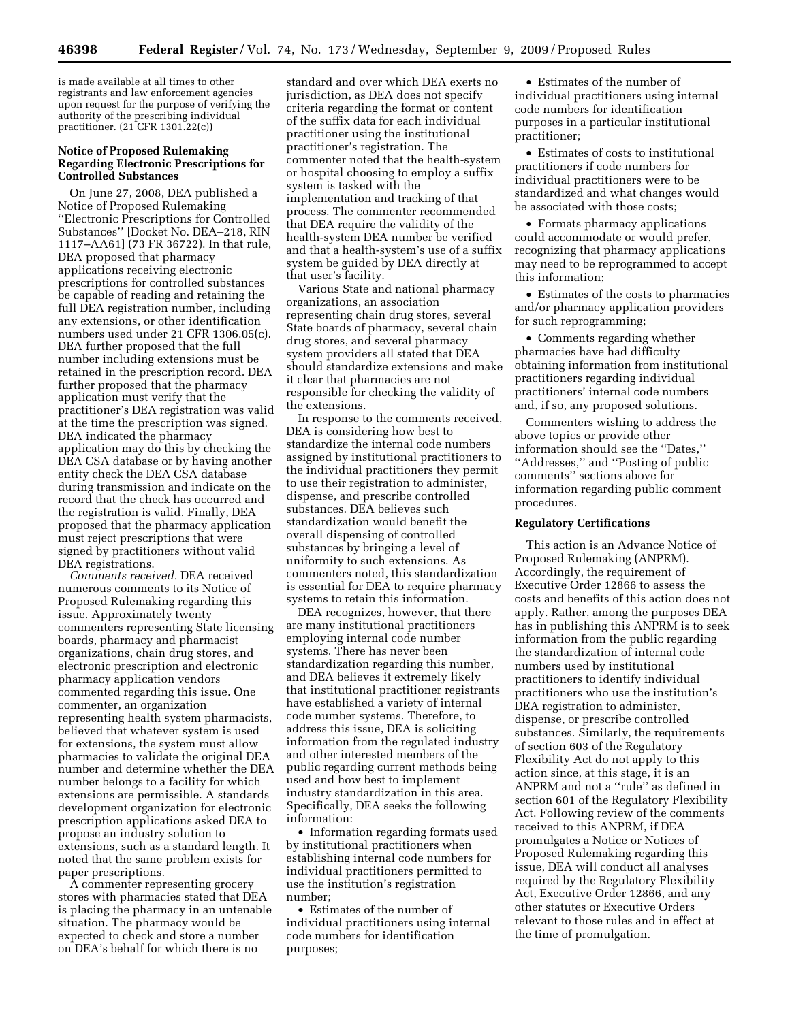is made available at all times to other registrants and law enforcement agencies upon request for the purpose of verifying the authority of the prescribing individual practitioner. (21 CFR 1301.22(c))

# **Notice of Proposed Rulemaking Regarding Electronic Prescriptions for Controlled Substances**

On June 27, 2008, DEA published a Notice of Proposed Rulemaking ''Electronic Prescriptions for Controlled Substances'' [Docket No. DEA–218, RIN 1117–AA61] (73 FR 36722). In that rule, DEA proposed that pharmacy applications receiving electronic prescriptions for controlled substances be capable of reading and retaining the full DEA registration number, including any extensions, or other identification numbers used under 21 CFR 1306.05(c). DEA further proposed that the full number including extensions must be retained in the prescription record. DEA further proposed that the pharmacy application must verify that the practitioner's DEA registration was valid at the time the prescription was signed. DEA indicated the pharmacy application may do this by checking the DEA CSA database or by having another entity check the DEA CSA database during transmission and indicate on the record that the check has occurred and the registration is valid. Finally, DEA proposed that the pharmacy application must reject prescriptions that were signed by practitioners without valid DEA registrations.

*Comments received.* DEA received numerous comments to its Notice of Proposed Rulemaking regarding this issue. Approximately twenty commenters representing State licensing boards, pharmacy and pharmacist organizations, chain drug stores, and electronic prescription and electronic pharmacy application vendors commented regarding this issue. One commenter, an organization representing health system pharmacists, believed that whatever system is used for extensions, the system must allow pharmacies to validate the original DEA number and determine whether the DEA number belongs to a facility for which extensions are permissible. A standards development organization for electronic prescription applications asked DEA to propose an industry solution to extensions, such as a standard length. It noted that the same problem exists for paper prescriptions.

A commenter representing grocery stores with pharmacies stated that DEA is placing the pharmacy in an untenable situation. The pharmacy would be expected to check and store a number on DEA's behalf for which there is no

standard and over which DEA exerts no jurisdiction, as DEA does not specify criteria regarding the format or content of the suffix data for each individual practitioner using the institutional practitioner's registration. The commenter noted that the health-system or hospital choosing to employ a suffix system is tasked with the implementation and tracking of that process. The commenter recommended that DEA require the validity of the health-system DEA number be verified and that a health-system's use of a suffix system be guided by DEA directly at that user's facility.

Various State and national pharmacy organizations, an association representing chain drug stores, several State boards of pharmacy, several chain drug stores, and several pharmacy system providers all stated that DEA should standardize extensions and make it clear that pharmacies are not responsible for checking the validity of the extensions.

In response to the comments received, DEA is considering how best to standardize the internal code numbers assigned by institutional practitioners to the individual practitioners they permit to use their registration to administer, dispense, and prescribe controlled substances. DEA believes such standardization would benefit the overall dispensing of controlled substances by bringing a level of uniformity to such extensions. As commenters noted, this standardization is essential for DEA to require pharmacy systems to retain this information.

DEA recognizes, however, that there are many institutional practitioners employing internal code number systems. There has never been standardization regarding this number, and DEA believes it extremely likely that institutional practitioner registrants have established a variety of internal code number systems. Therefore, to address this issue, DEA is soliciting information from the regulated industry and other interested members of the public regarding current methods being used and how best to implement industry standardization in this area. Specifically, DEA seeks the following information:

• Information regarding formats used by institutional practitioners when establishing internal code numbers for individual practitioners permitted to use the institution's registration number;

• Estimates of the number of individual practitioners using internal code numbers for identification purposes;

• Estimates of the number of individual practitioners using internal code numbers for identification purposes in a particular institutional practitioner;

• Estimates of costs to institutional practitioners if code numbers for individual practitioners were to be standardized and what changes would be associated with those costs;

• Formats pharmacy applications could accommodate or would prefer, recognizing that pharmacy applications may need to be reprogrammed to accept this information;

• Estimates of the costs to pharmacies and/or pharmacy application providers for such reprogramming;

• Comments regarding whether pharmacies have had difficulty obtaining information from institutional practitioners regarding individual practitioners' internal code numbers and, if so, any proposed solutions.

Commenters wishing to address the above topics or provide other information should see the ''Dates,'' ''Addresses,'' and ''Posting of public comments'' sections above for information regarding public comment procedures.

# **Regulatory Certifications**

This action is an Advance Notice of Proposed Rulemaking (ANPRM). Accordingly, the requirement of Executive Order 12866 to assess the costs and benefits of this action does not apply. Rather, among the purposes DEA has in publishing this ANPRM is to seek information from the public regarding the standardization of internal code numbers used by institutional practitioners to identify individual practitioners who use the institution's DEA registration to administer, dispense, or prescribe controlled substances. Similarly, the requirements of section 603 of the Regulatory Flexibility Act do not apply to this action since, at this stage, it is an ANPRM and not a ''rule'' as defined in section 601 of the Regulatory Flexibility Act. Following review of the comments received to this ANPRM, if DEA promulgates a Notice or Notices of Proposed Rulemaking regarding this issue, DEA will conduct all analyses required by the Regulatory Flexibility Act, Executive Order 12866, and any other statutes or Executive Orders relevant to those rules and in effect at the time of promulgation.